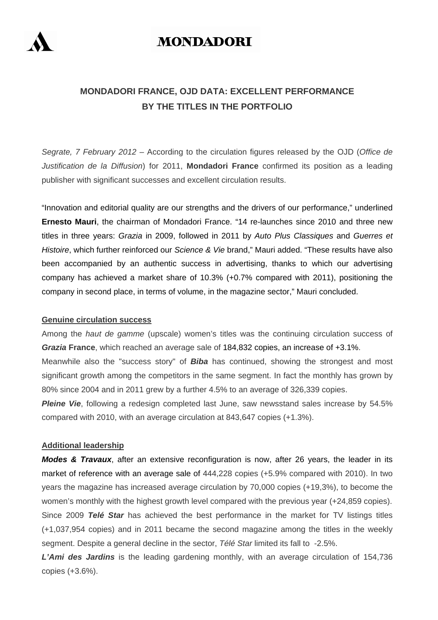

# **MONDADORI**

# **MONDADORI FRANCE, OJD DATA: EXCELLENT PERFORMANCE BY THE TITLES IN THE PORTFOLIO**

*Segrate, 7 February 2012* – According to the circulation figures released by the OJD (*Office de Justification de la Diffusion*) for 2011, **Mondadori France** confirmed its position as a leading publisher with significant successes and excellent circulation results.

"Innovation and editorial quality are our strengths and the drivers of our performance," underlined **Ernesto Mauri**, the chairman of Mondadori France. "14 re-launches since 2010 and three new titles in three years: *Grazia* in 2009, followed in 2011 by *Auto Plus Classiques* and *Guerres et Histoire*, which further reinforced our *Science & Vie* brand," Mauri added. "These results have also been accompanied by an authentic success in advertising, thanks to which our advertising company has achieved a market share of 10.3% (+0.7% compared with 2011), positioning the company in second place, in terms of volume, in the magazine sector," Mauri concluded.

### **Genuine circulation success**

Among the *haut de gamme* (upscale) women's titles was the continuing circulation success of *Grazia* **France**, which reached an average sale of 184,832 copies, an increase of +3.1%. Meanwhile also the "success story" of *Biba* has continued, showing the strongest and most significant growth among the competitors in the same segment. In fact the monthly has grown by 80% since 2004 and in 2011 grew by a further 4.5% to an average of 326,339 copies.

*Pleine Vie*, following a redesign completed last June, saw newsstand sales increase by 54.5% compared with 2010, with an average circulation at 843,647 copies (+1.3%).

#### **Additional leadership**

*Modes & Travaux*, after an extensive reconfiguration is now, after 26 years, the leader in its market of reference with an average sale of 444,228 copies (+5.9% compared with 2010). In two years the magazine has increased average circulation by 70,000 copies (+19,3%), to become the women's monthly with the highest growth level compared with the previous year (+24,859 copies). Since 2009 *Telé Star* has achieved the best performance in the market for TV listings titles (+1,037,954 copies) and in 2011 became the second magazine among the titles in the weekly segment. Despite a general decline in the sector, *Télé Star* limited its fall to -2.5%.

*L'Ami des Jardins* is the leading gardening monthly, with an average circulation of 154,736 copies (+3.6%).